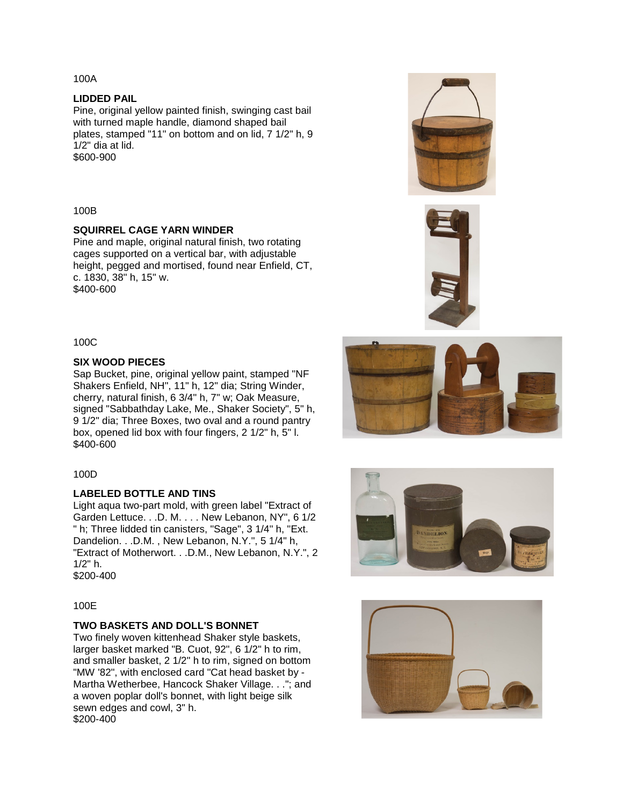100A

#### **LIDDED PAIL**

Pine, original yellow painted finish, swinging cast bail with turned maple handle, diamond shaped bail plates, stamped "11" on bottom and on lid, 7 1/2" h, 9 1/2" dia at lid. \$600-900

#### 100B

### **SQUIRREL CAGE YARN WINDER**

Pine and maple, original natural finish, two rotating cages supported on a vertical bar, with adjustable height, pegged and mortised, found near Enfield, CT, c. 1830, 38" h, 15" w. \$400-600

100C

### **SIX WOOD PIECES**

Sap Bucket, pine, original yellow paint, stamped "NF Shakers Enfield, NH", 11" h, 12" dia; String Winder, cherry, natural finish, 6 3/4" h, 7" w; Oak Measure, signed "Sabbathday Lake, Me., Shaker Society", 5" h, 9 1/2" dia; Three Boxes, two oval and a round pantry box, opened lid box with four fingers, 2 1/2" h, 5" l. \$400-600

#### 100D

### **LABELED BOTTLE AND TINS**

Light aqua two-part mold, with green label "Extract of Garden Lettuce. . .D. M. . . . New Lebanon, NY", 6 1/2 " h; Three lidded tin canisters, "Sage", 3 1/4" h, "Ext. Dandelion. . .D.M. , New Lebanon, N.Y.", 5 1/4" h, "Extract of Motherwort. . .D.M., New Lebanon, N.Y.", 2 1/2" h. \$200-400

#### 100E

# **TWO BASKETS AND DOLL'S BONNET**

Two finely woven kittenhead Shaker style baskets, larger basket marked "B. Cuot, 92", 6 1/2" h to rim, and smaller basket, 2 1/2" h to rim, signed on bottom "MW '82", with enclosed card "Cat head basket by - Martha Wetherbee, Hancock Shaker Village. . ."; and a woven poplar doll's bonnet, with light beige silk sewn edges and cowl, 3" h. \$200-400









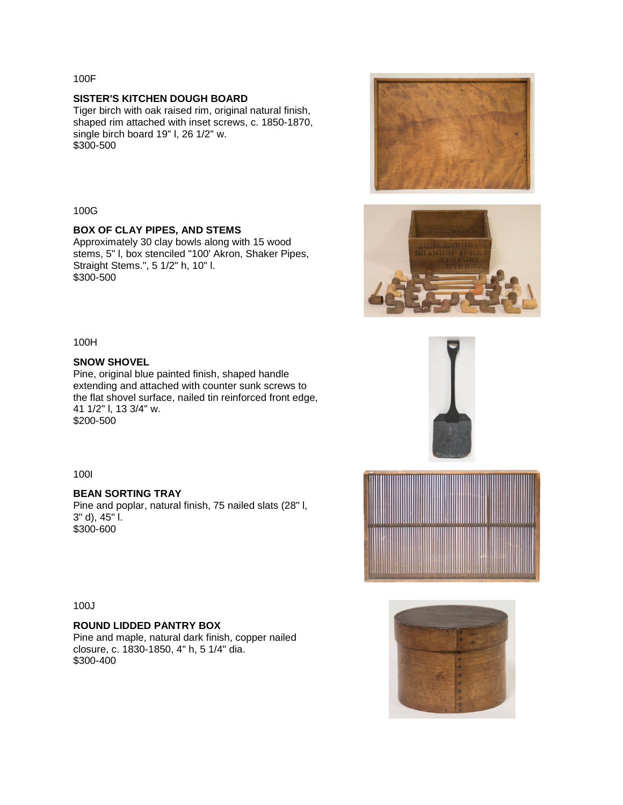100F

## **SISTER'S KITCHEN DOUGH BOARD**

Tiger birch with oak raised rim, original natural finish, shaped rim attached with inset screws, c. 1850-1870, single birch board 19" l, 26 1/2" w. \$300-500



## **BOX OF CLAY PIPES, AND STEMS**

Approximately 30 clay bowls along with 15 wood stems, 5" l, box stenciled "100' Akron, Shaker Pipes, Straight Stems.", 5 1/2" h, 10" l. \$300-500



### **SNOW SHOVEL**

Pine, original blue painted finish, shaped handle extending and attached with counter sunk screws to the flat shovel surface, nailed tin reinforced front edge, 41 1/2" l, 13 3/4" w. \$200-500

100I

## **BEAN SORTING TRAY**

Pine and poplar, natural finish, 75 nailed slats (28" l, 3" d), 45" l. \$300-600

100J

## **ROUND LIDDED PANTRY BOX**

Pine and maple, natural dark finish, copper nailed closure, c. 1830-1850, 4" h, 5 1/4" dia. \$300-400